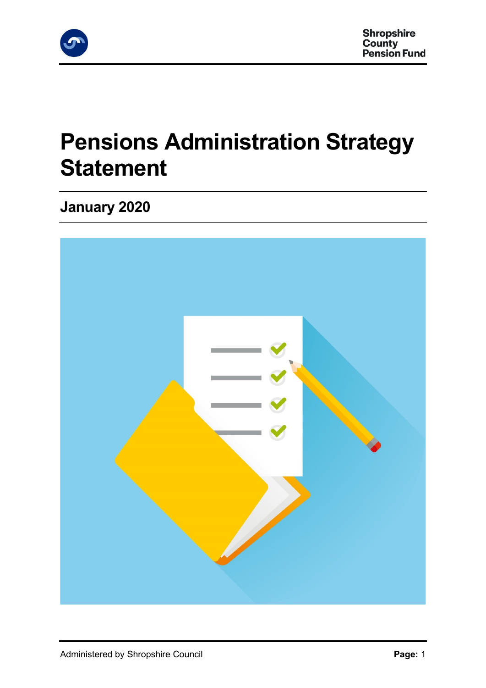

# **Pensions Administration Strategy Statement**

## **January 2020**

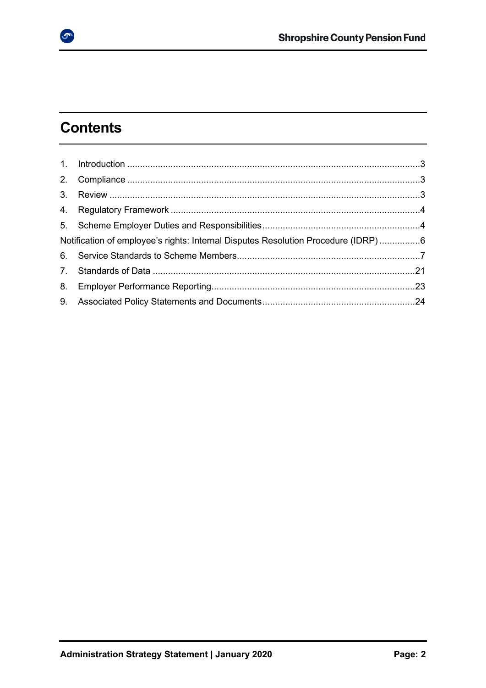## **Contents**

 $\bullet$ 

| Notification of employee's rights: Internal Disputes Resolution Procedure (IDRP)6 |  |
|-----------------------------------------------------------------------------------|--|
|                                                                                   |  |
|                                                                                   |  |
|                                                                                   |  |
|                                                                                   |  |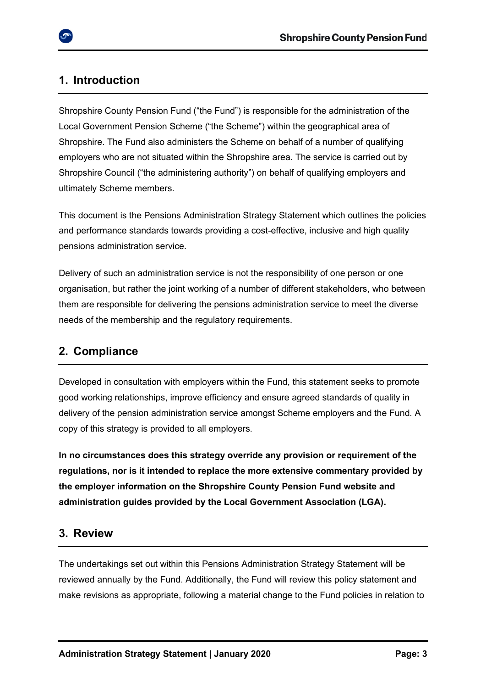## <span id="page-2-0"></span>**1. Introduction**

Shropshire County Pension Fund ("the Fund") is responsible for the administration of the Local Government Pension Scheme ("the Scheme") within the geographical area of Shropshire. The Fund also administers the Scheme on behalf of a number of qualifying employers who are not situated within the Shropshire area. The service is carried out by Shropshire Council ("the administering authority") on behalf of qualifying employers and ultimately Scheme members.

This document is the Pensions Administration Strategy Statement which outlines the policies and performance standards towards providing a cost-effective, inclusive and high quality pensions administration service.

Delivery of such an administration service is not the responsibility of one person or one organisation, but rather the joint working of a number of different stakeholders, who between them are responsible for delivering the pensions administration service to meet the diverse needs of the membership and the regulatory requirements.

## <span id="page-2-1"></span>**2. Compliance**

Developed in consultation with employers within the Fund, this statement seeks to promote good working relationships, improve efficiency and ensure agreed standards of quality in delivery of the pension administration service amongst Scheme employers and the Fund. A copy of this strategy is provided to all employers.

**In no circumstances does this strategy override any provision or requirement of the regulations, nor is it intended to replace the more extensive commentary provided by the employer information on the Shropshire County Pension Fund website and administration guides provided by the Local Government Association (LGA).** 

## <span id="page-2-2"></span>**3. Review**

The undertakings set out within this Pensions Administration Strategy Statement will be reviewed annually by the Fund. Additionally, the Fund will review this policy statement and make revisions as appropriate, following a material change to the Fund policies in relation to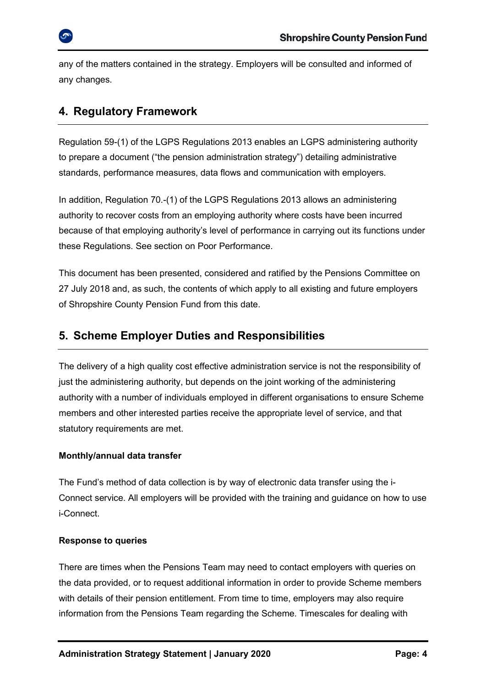any of the matters contained in the strategy. Employers will be consulted and informed of any changes.

## <span id="page-3-0"></span>**4. Regulatory Framework**

Regulation 59-(1) of the LGPS Regulations 2013 enables an LGPS administering authority to prepare a document ("the pension administration strategy") detailing administrative standards, performance measures, data flows and communication with employers.

In addition, Regulation 70.-(1) of the LGPS Regulations 2013 allows an administering authority to recover costs from an employing authority where costs have been incurred because of that employing authority's level of performance in carrying out its functions under these Regulations. See section on Poor Performance.

This document has been presented, considered and ratified by the Pensions Committee on 27 July 2018 and, as such, the contents of which apply to all existing and future employers of Shropshire County Pension Fund from this date.

## <span id="page-3-1"></span>**5. Scheme Employer Duties and Responsibilities**

The delivery of a high quality cost effective administration service is not the responsibility of just the administering authority, but depends on the joint working of the administering authority with a number of individuals employed in different organisations to ensure Scheme members and other interested parties receive the appropriate level of service, and that statutory requirements are met.

### **Monthly/annual data transfer**

The Fund's method of data collection is by way of electronic data transfer using the i-Connect service. All employers will be provided with the training and guidance on how to use i-Connect.

### **Response to queries**

There are times when the Pensions Team may need to contact employers with queries on the data provided, or to request additional information in order to provide Scheme members with details of their pension entitlement. From time to time, employers may also require information from the Pensions Team regarding the Scheme. Timescales for dealing with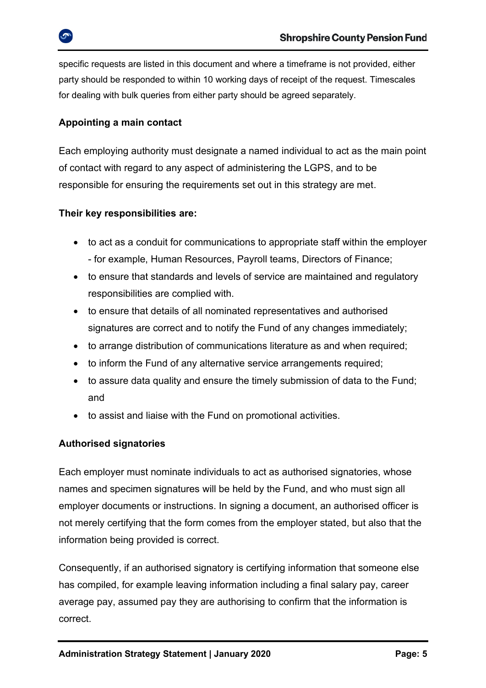specific requests are listed in this document and where a timeframe is not provided, either party should be responded to within 10 working days of receipt of the request. Timescales for dealing with bulk queries from either party should be agreed separately.

## **Appointing a main contact**

Each employing authority must designate a named individual to act as the main point of contact with regard to any aspect of administering the LGPS, and to be responsible for ensuring the requirements set out in this strategy are met.

## **Their key responsibilities are:**

- to act as a conduit for communications to appropriate staff within the employer - for example, Human Resources, Payroll teams, Directors of Finance;
- to ensure that standards and levels of service are maintained and regulatory responsibilities are complied with.
- to ensure that details of all nominated representatives and authorised signatures are correct and to notify the Fund of any changes immediately;
- to arrange distribution of communications literature as and when required;
- to inform the Fund of any alternative service arrangements required;
- to assure data quality and ensure the timely submission of data to the Fund; and
- to assist and liaise with the Fund on promotional activities.

## **Authorised signatories**

Each employer must nominate individuals to act as authorised signatories, whose names and specimen signatures will be held by the Fund, and who must sign all employer documents or instructions. In signing a document, an authorised officer is not merely certifying that the form comes from the employer stated, but also that the information being provided is correct.

Consequently, if an authorised signatory is certifying information that someone else has compiled, for example leaving information including a final salary pay, career average pay, assumed pay they are authorising to confirm that the information is correct.

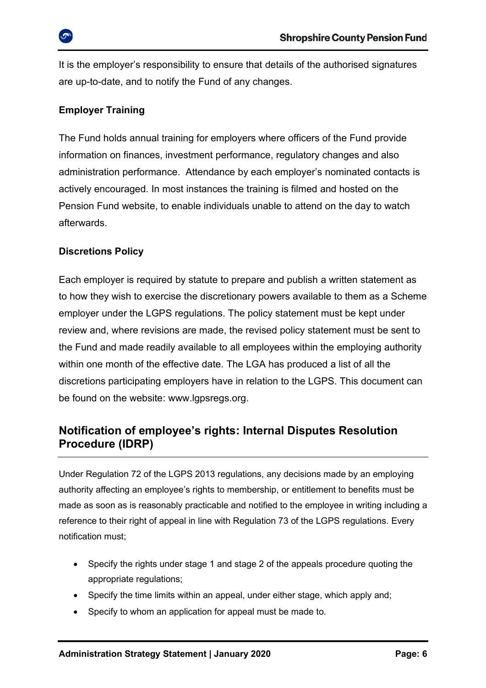It is the employer's responsibility to ensure that details of the authorised signatures are up-to-date, and to notify the Fund of any changes.

## **Employer Training**

The Fund holds annual training for employers where officers of the Fund provide information on finances, investment performance, regulatory changes and also administration performance. Attendance by each employer's nominated contacts is actively encouraged. In most instances the training is filmed and hosted on the Pension Fund website, to enable individuals unable to attend on the day to watch afterwards.

## **Discretions Policy**

Each employer is required by statute to prepare and publish a written statement as to how they wish to exercise the discretionary powers available to them as a Scheme employer under the LGPS regulations. The policy statement must be kept under review and, where revisions are made, the revised policy statement must be sent to the Fund and made readily available to all employees within the employing authority within one month of the effective date. The LGA has produced a list of all the discretions participating employers have in relation to the LGPS. This document can be found on the website: [www.lgpsregs.org.](http://www.lgpsregs.org/)

## <span id="page-5-0"></span>**Notification of employee's rights: Internal Disputes Resolution Procedure (IDRP)**

Under Regulation 72 of the LGPS 2013 regulations, any decisions made by an employing authority affecting an employee's rights to membership, or entitlement to benefits must be made as soon as is reasonably practicable and notified to the employee in writing including a reference to their right of appeal in line with Regulation 73 of the LGPS regulations. Every notification must;

- Specify the rights under stage 1 and stage 2 of the appeals procedure quoting the appropriate regulations;
- Specify the time limits within an appeal, under either stage, which apply and;
- Specify to whom an application for appeal must be made to.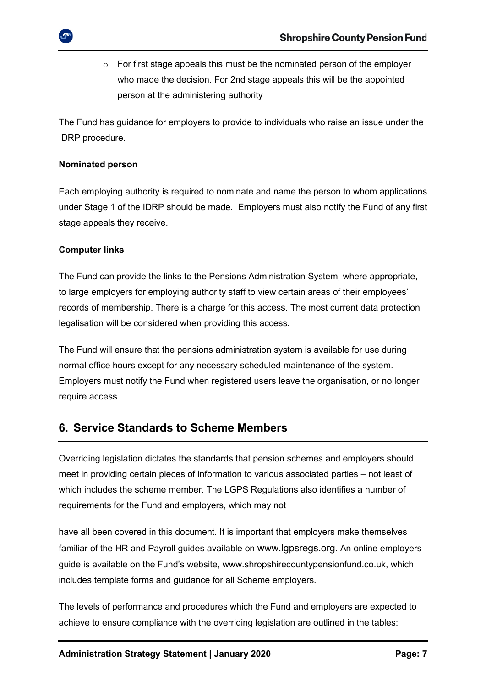$\circ$  For first stage appeals this must be the nominated person of the employer who made the decision. For 2nd stage appeals this will be the appointed person at the administering authority

The Fund has guidance for employers to provide to individuals who raise an issue under the IDRP procedure.

#### **Nominated person**

Each employing authority is required to nominate and name the person to whom applications under Stage 1 of the IDRP should be made. Employers must also notify the Fund of any first stage appeals they receive.

#### **Computer links**

The Fund can provide the links to the Pensions Administration System, where appropriate, to large employers for employing authority staff to view certain areas of their employees' records of membership. There is a charge for this access. The most current data protection legalisation will be considered when providing this access.

The Fund will ensure that the pensions administration system is available for use during normal office hours except for any necessary scheduled maintenance of the system. Employers must notify the Fund when registered users leave the organisation, or no longer require access.

## <span id="page-6-0"></span>**6. Service Standards to Scheme Members**

Overriding legislation dictates the standards that pension schemes and employers should meet in providing certain pieces of information to various associated parties – not least of which includes the scheme member. The LGPS Regulations also identifies a number of requirements for the Fund and employers, which may not

have all been covered in this document. It is important that employers make themselves familiar of the HR and Payroll guides available on [www.lgpsregs.org](file://///sw12ssfs03/shrops/Finance/Pensions/Communications%20(live%20data)/Policies/www.lgpsregs.org). An online employers guide is available on the Fund's website, [www.shropshirecountypensionfund.co.uk,](http://www.shropshirecountypensionfund.co.uk/) which includes template forms and guidance for all Scheme employers.

The levels of performance and procedures which the Fund and employers are expected to achieve to ensure compliance with the overriding legislation are outlined in the tables: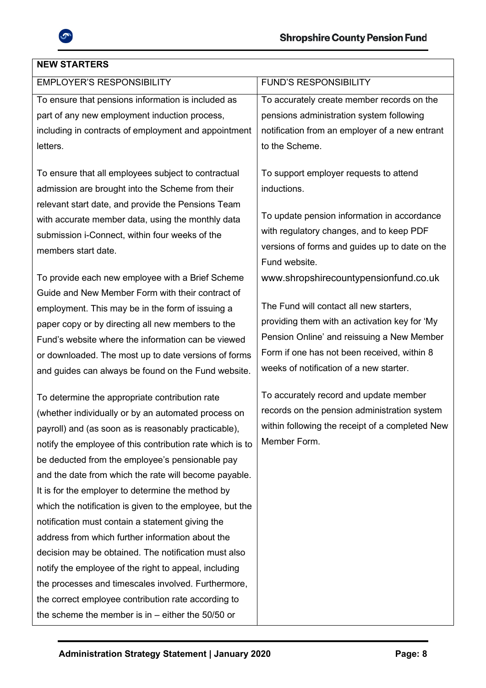

## **NEW STARTERS**

| <b>EMPLOYER'S RESPONSIBILITY</b>                                                                                                                                                                                                                                                                                                                                                                                                                                                                                                                                                                                                                                                                                                                                                                                                                      | <b>FUND'S RESPONSIBILITY</b>                                                                                                                                                                                                                                              |
|-------------------------------------------------------------------------------------------------------------------------------------------------------------------------------------------------------------------------------------------------------------------------------------------------------------------------------------------------------------------------------------------------------------------------------------------------------------------------------------------------------------------------------------------------------------------------------------------------------------------------------------------------------------------------------------------------------------------------------------------------------------------------------------------------------------------------------------------------------|---------------------------------------------------------------------------------------------------------------------------------------------------------------------------------------------------------------------------------------------------------------------------|
| To ensure that pensions information is included as                                                                                                                                                                                                                                                                                                                                                                                                                                                                                                                                                                                                                                                                                                                                                                                                    | To accurately create member records on the                                                                                                                                                                                                                                |
| part of any new employment induction process,                                                                                                                                                                                                                                                                                                                                                                                                                                                                                                                                                                                                                                                                                                                                                                                                         | pensions administration system following                                                                                                                                                                                                                                  |
| including in contracts of employment and appointment                                                                                                                                                                                                                                                                                                                                                                                                                                                                                                                                                                                                                                                                                                                                                                                                  | notification from an employer of a new entrant                                                                                                                                                                                                                            |
| letters.                                                                                                                                                                                                                                                                                                                                                                                                                                                                                                                                                                                                                                                                                                                                                                                                                                              | to the Scheme.                                                                                                                                                                                                                                                            |
| To ensure that all employees subject to contractual<br>admission are brought into the Scheme from their<br>relevant start date, and provide the Pensions Team<br>with accurate member data, using the monthly data<br>submission i-Connect, within four weeks of the<br>members start date.                                                                                                                                                                                                                                                                                                                                                                                                                                                                                                                                                           | To support employer requests to attend<br>inductions.<br>To update pension information in accordance<br>with regulatory changes, and to keep PDF<br>versions of forms and guides up to date on the<br>Fund website.                                                       |
| To provide each new employee with a Brief Scheme<br>Guide and New Member Form with their contract of<br>employment. This may be in the form of issuing a<br>paper copy or by directing all new members to the<br>Fund's website where the information can be viewed<br>or downloaded. The most up to date versions of forms<br>and guides can always be found on the Fund website.                                                                                                                                                                                                                                                                                                                                                                                                                                                                    | www.shropshirecountypensionfund.co.uk<br>The Fund will contact all new starters,<br>providing them with an activation key for 'My<br>Pension Online' and reissuing a New Member<br>Form if one has not been received, within 8<br>weeks of notification of a new starter. |
| To determine the appropriate contribution rate<br>(whether individually or by an automated process on<br>payroll) and (as soon as is reasonably practicable),<br>notify the employee of this contribution rate which is to<br>be deducted from the employee's pensionable pay<br>and the date from which the rate will become payable.<br>It is for the employer to determine the method by<br>which the notification is given to the employee, but the<br>notification must contain a statement giving the<br>address from which further information about the<br>decision may be obtained. The notification must also<br>notify the employee of the right to appeal, including<br>the processes and timescales involved. Furthermore,<br>the correct employee contribution rate according to<br>the scheme the member is in $-$ either the 50/50 or | To accurately record and update member<br>records on the pension administration system<br>within following the receipt of a completed New<br>Member Form.                                                                                                                 |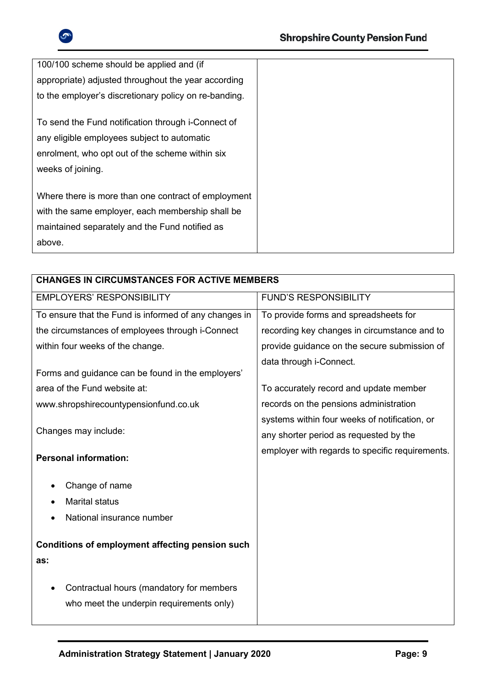

| 100/100 scheme should be applied and (if              |  |
|-------------------------------------------------------|--|
| appropriate) adjusted throughout the year according   |  |
| to the employer's discretionary policy on re-banding. |  |
|                                                       |  |
| To send the Fund notification through i-Connect of    |  |
| any eligible employees subject to automatic           |  |
| enrolment, who opt out of the scheme within six       |  |
| weeks of joining.                                     |  |
|                                                       |  |
| Where there is more than one contract of employment   |  |
| with the same employer, each membership shall be      |  |
| maintained separately and the Fund notified as        |  |
| above.                                                |  |

| <b>CHANGES IN CIRCUMSTANCES FOR ACTIVE MEMBERS</b>                                   |                                                 |  |  |
|--------------------------------------------------------------------------------------|-------------------------------------------------|--|--|
| <b>EMPLOYERS' RESPONSIBILITY</b>                                                     | <b>FUND'S RESPONSIBILITY</b>                    |  |  |
| To ensure that the Fund is informed of any changes in                                | To provide forms and spreadsheets for           |  |  |
| the circumstances of employees through i-Connect                                     | recording key changes in circumstance and to    |  |  |
| within four weeks of the change.                                                     | provide guidance on the secure submission of    |  |  |
| Forms and guidance can be found in the employers'                                    | data through i-Connect.                         |  |  |
| area of the Fund website at:                                                         | To accurately record and update member          |  |  |
| www.shropshirecountypensionfund.co.uk                                                | records on the pensions administration          |  |  |
|                                                                                      | systems within four weeks of notification, or   |  |  |
| Changes may include:                                                                 | any shorter period as requested by the          |  |  |
| <b>Personal information:</b>                                                         | employer with regards to specific requirements. |  |  |
| Change of name                                                                       |                                                 |  |  |
| <b>Marital status</b>                                                                |                                                 |  |  |
| National insurance number                                                            |                                                 |  |  |
| <b>Conditions of employment affecting pension such</b><br>as:                        |                                                 |  |  |
| Contractual hours (mandatory for members<br>who meet the underpin requirements only) |                                                 |  |  |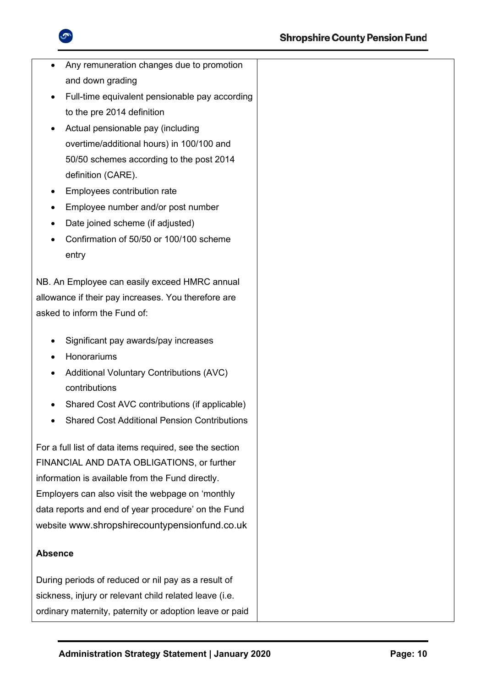

| Any remuneration changes due to promotion<br>$\bullet$<br>and down grading |  |
|----------------------------------------------------------------------------|--|
| Full-time equivalent pensionable pay according                             |  |
| ٠<br>to the pre 2014 definition                                            |  |
| Actual pensionable pay (including                                          |  |
| overtime/additional hours) in 100/100 and                                  |  |
| 50/50 schemes according to the post 2014                                   |  |
| definition (CARE).                                                         |  |
| Employees contribution rate<br>٠                                           |  |
| Employee number and/or post number<br>٠                                    |  |
| Date joined scheme (if adjusted)                                           |  |
| Confirmation of 50/50 or 100/100 scheme                                    |  |
| entry                                                                      |  |
|                                                                            |  |
| NB. An Employee can easily exceed HMRC annual                              |  |
| allowance if their pay increases. You therefore are                        |  |
| asked to inform the Fund of:                                               |  |
| Significant pay awards/pay increases                                       |  |
| Honorariums                                                                |  |
| <b>Additional Voluntary Contributions (AVC)</b><br>٠                       |  |
| contributions                                                              |  |
| Shared Cost AVC contributions (if applicable)                              |  |
| <b>Shared Cost Additional Pension Contributions</b>                        |  |
|                                                                            |  |
| For a full list of data items required, see the section                    |  |
| FINANCIAL AND DATA OBLIGATIONS, or further                                 |  |
| information is available from the Fund directly.                           |  |
| Employers can also visit the webpage on 'monthly                           |  |
| data reports and end of year procedure' on the Fund                        |  |
| website www.shropshirecountypensionfund.co.uk                              |  |
| <b>Absence</b>                                                             |  |
| During periods of reduced or nil pay as a result of                        |  |
| sickness, injury or relevant child related leave (i.e.                     |  |
| ordinary maternity, paternity or adoption leave or paid                    |  |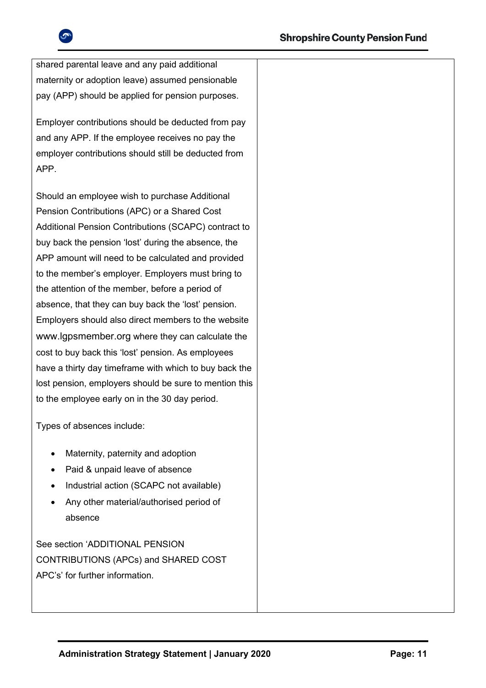

shared parental leave and any paid additional maternity or adoption leave) assumed pensionable pay (APP) should be applied for pension purposes.

Employer contributions should be deducted from pay and any APP. If the employee receives no pay the employer contributions should still be deducted from APP.

Should an employee wish to purchase Additional Pension Contributions (APC) or a Shared Cost Additional Pension Contributions (SCAPC) contract to buy back the pension 'lost' during the absence, the APP amount will need to be calculated and provided to the member's employer. Employers must bring to the attention of the member, before a period of absence, that they can buy back the 'lost' pension. Employers should also direct members to the website [www.lgpsmember.org](http://www.lgpsmember.org/) where they can calculate the cost to buy back this 'lost' pension. As employees have a thirty day timeframe with which to buy back the lost pension, employers should be sure to mention this to the employee early on in the 30 day period.

Types of absences include:

- Maternity, paternity and adoption
- Paid & unpaid leave of absence
- Industrial action (SCAPC not available)
- Any other material/authorised period of absence

See section 'ADDITIONAL PENSION CONTRIBUTIONS (APCs) and SHARED COST APC's' for further information.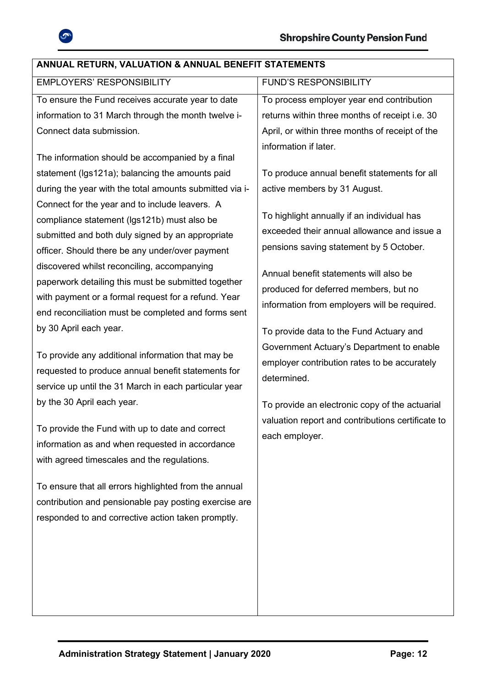

| <b>FUND'S RESPONSIBILITY</b>                                                                                                                                                                                                                                                                                                                                                                                                                                                                                                                                                                                                                                     |
|------------------------------------------------------------------------------------------------------------------------------------------------------------------------------------------------------------------------------------------------------------------------------------------------------------------------------------------------------------------------------------------------------------------------------------------------------------------------------------------------------------------------------------------------------------------------------------------------------------------------------------------------------------------|
| To process employer year end contribution                                                                                                                                                                                                                                                                                                                                                                                                                                                                                                                                                                                                                        |
| returns within three months of receipt i.e. 30                                                                                                                                                                                                                                                                                                                                                                                                                                                                                                                                                                                                                   |
| April, or within three months of receipt of the                                                                                                                                                                                                                                                                                                                                                                                                                                                                                                                                                                                                                  |
| information if later.<br>To produce annual benefit statements for all<br>active members by 31 August.<br>To highlight annually if an individual has<br>exceeded their annual allowance and issue a<br>pensions saving statement by 5 October.<br>Annual benefit statements will also be<br>produced for deferred members, but no<br>information from employers will be required.<br>To provide data to the Fund Actuary and<br>Government Actuary's Department to enable<br>employer contribution rates to be accurately<br>determined.<br>To provide an electronic copy of the actuarial<br>valuation report and contributions certificate to<br>each employer. |
|                                                                                                                                                                                                                                                                                                                                                                                                                                                                                                                                                                                                                                                                  |
|                                                                                                                                                                                                                                                                                                                                                                                                                                                                                                                                                                                                                                                                  |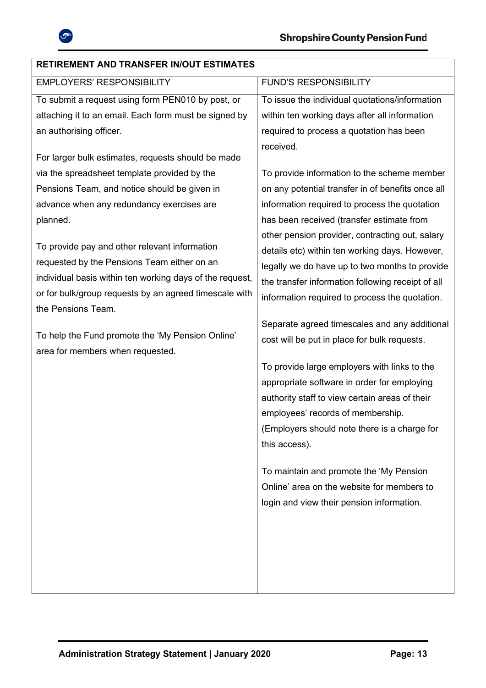

| <b>RETIREMENT AND TRANSFER IN/OUT ESTIMATES</b>          |                                                   |
|----------------------------------------------------------|---------------------------------------------------|
| <b>EMPLOYERS' RESPONSIBILITY</b>                         | <b>FUND'S RESPONSIBILITY</b>                      |
| To submit a request using form PEN010 by post, or        | To issue the individual quotations/information    |
| attaching it to an email. Each form must be signed by    | within ten working days after all information     |
| an authorising officer.                                  | required to process a quotation has been          |
|                                                          | received.                                         |
| For larger bulk estimates, requests should be made       |                                                   |
| via the spreadsheet template provided by the             | To provide information to the scheme member       |
| Pensions Team, and notice should be given in             | on any potential transfer in of benefits once all |
| advance when any redundancy exercises are                | information required to process the quotation     |
| planned.                                                 | has been received (transfer estimate from         |
|                                                          | other pension provider, contracting out, salary   |
| To provide pay and other relevant information            | details etc) within ten working days. However,    |
| requested by the Pensions Team either on an              | legally we do have up to two months to provide    |
| individual basis within ten working days of the request, | the transfer information following receipt of all |
| or for bulk/group requests by an agreed timescale with   | information required to process the quotation.    |
| the Pensions Team.                                       |                                                   |
| To help the Fund promote the 'My Pension Online'         | Separate agreed timescales and any additional     |
| area for members when requested.                         | cost will be put in place for bulk requests.      |
|                                                          | To provide large employers with links to the      |
|                                                          | appropriate software in order for employing       |
|                                                          | authority staff to view certain areas of their    |
|                                                          | employees' records of membership.                 |
|                                                          | (Employers should note there is a charge for      |
|                                                          | this access).                                     |
|                                                          |                                                   |
|                                                          | To maintain and promote the 'My Pension           |
|                                                          | Online' area on the website for members to        |
|                                                          | login and view their pension information.         |
|                                                          |                                                   |
|                                                          |                                                   |
|                                                          |                                                   |
|                                                          |                                                   |
|                                                          |                                                   |
|                                                          |                                                   |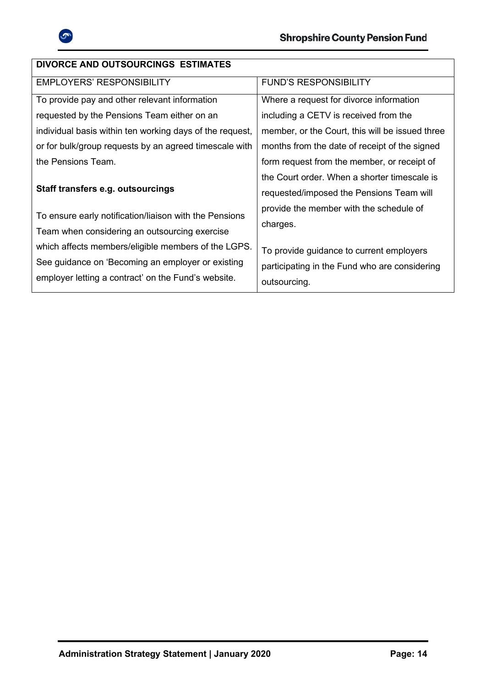

| <b>DIVORCE AND OUTSOURCINGS ESTIMATES</b>                |                                                 |  |
|----------------------------------------------------------|-------------------------------------------------|--|
| <b>EMPLOYERS' RESPONSIBILITY</b>                         | <b>FUND'S RESPONSIBILITY</b>                    |  |
| To provide pay and other relevant information            | Where a request for divorce information         |  |
| requested by the Pensions Team either on an              | including a CETV is received from the           |  |
| individual basis within ten working days of the request, | member, or the Court, this will be issued three |  |
| or for bulk/group requests by an agreed timescale with   | months from the date of receipt of the signed   |  |
| the Pensions Team.                                       | form request from the member, or receipt of     |  |
|                                                          | the Court order. When a shorter timescale is    |  |
| Staff transfers e.g. outsourcings                        | requested/imposed the Pensions Team will        |  |
| To ensure early notification/liaison with the Pensions   | provide the member with the schedule of         |  |
| Team when considering an outsourcing exercise            | charges.                                        |  |
|                                                          |                                                 |  |
| which affects members/eligible members of the LGPS.      | To provide guidance to current employers        |  |
| See guidance on 'Becoming an employer or existing        | participating in the Fund who are considering   |  |
| employer letting a contract' on the Fund's website.      | outsourcing.                                    |  |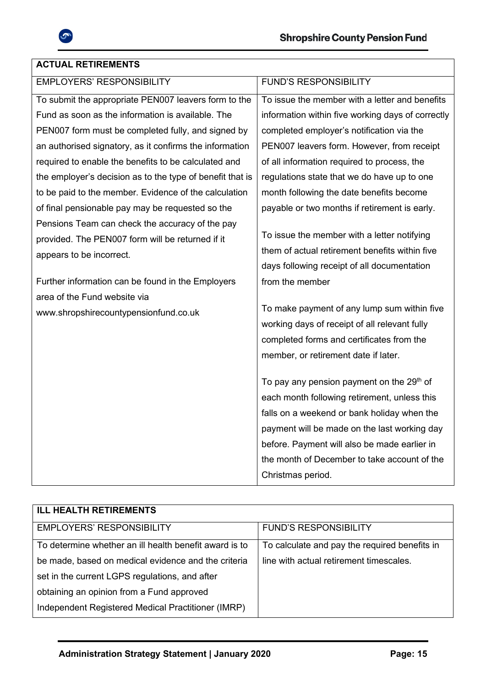

## **ACTUAL RETIREMENTS**

| <b>EMPLOYERS' RESPONSIBILITY</b>                          | <b>FUND'S RESPONSIBILITY</b>                          |
|-----------------------------------------------------------|-------------------------------------------------------|
| To submit the appropriate PEN007 leavers form to the      | To issue the member with a letter and benefits        |
| Fund as soon as the information is available. The         | information within five working days of correctly     |
| PEN007 form must be completed fully, and signed by        | completed employer's notification via the             |
| an authorised signatory, as it confirms the information   | PEN007 leavers form. However, from receipt            |
| required to enable the benefits to be calculated and      | of all information required to process, the           |
| the employer's decision as to the type of benefit that is | regulations state that we do have up to one           |
| to be paid to the member. Evidence of the calculation     | month following the date benefits become              |
| of final pensionable pay may be requested so the          | payable or two months if retirement is early.         |
| Pensions Team can check the accuracy of the pay           |                                                       |
| provided. The PEN007 form will be returned if it          | To issue the member with a letter notifying           |
| appears to be incorrect.                                  | them of actual retirement benefits within five        |
|                                                           | days following receipt of all documentation           |
| Further information can be found in the Employers         | from the member                                       |
| area of the Fund website via                              |                                                       |
| www.shropshirecountypensionfund.co.uk                     | To make payment of any lump sum within five           |
|                                                           | working days of receipt of all relevant fully         |
|                                                           | completed forms and certificates from the             |
|                                                           | member, or retirement date if later.                  |
|                                                           | To pay any pension payment on the 29 <sup>th</sup> of |
|                                                           | each month following retirement, unless this          |
|                                                           | falls on a weekend or bank holiday when the           |
|                                                           | payment will be made on the last working day          |
|                                                           | before. Payment will also be made earlier in          |
|                                                           | the month of December to take account of the          |
|                                                           |                                                       |
|                                                           | Christmas period.                                     |

| <b>ILL HEALTH RETIREMENTS</b>                          |                                               |
|--------------------------------------------------------|-----------------------------------------------|
| <b>EMPLOYERS' RESPONSIBILITY</b>                       | <b>FUND'S RESPONSIBILITY</b>                  |
| To determine whether an ill health benefit award is to | To calculate and pay the required benefits in |
| be made, based on medical evidence and the criteria    | line with actual retirement timescales.       |
| set in the current LGPS regulations, and after         |                                               |
| obtaining an opinion from a Fund approved              |                                               |
| Independent Registered Medical Practitioner (IMRP)     |                                               |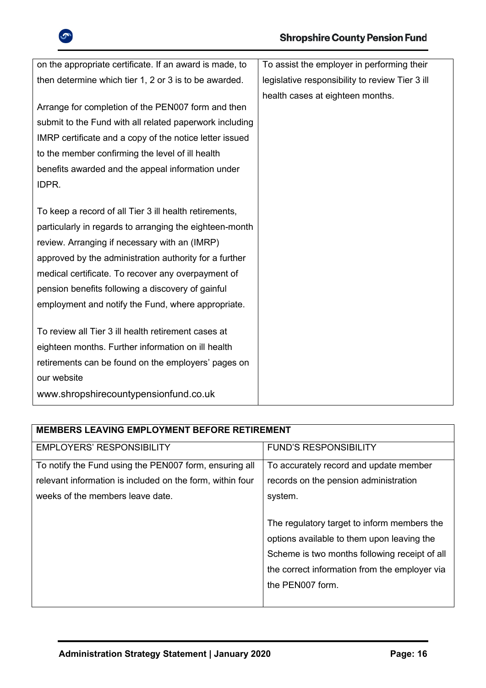

| on the appropriate certificate. If an award is made, to | To assist the employer in performing their      |
|---------------------------------------------------------|-------------------------------------------------|
| then determine which tier 1, 2 or 3 is to be awarded.   | legislative responsibility to review Tier 3 ill |
|                                                         | health cases at eighteen months.                |
| Arrange for completion of the PEN007 form and then      |                                                 |
| submit to the Fund with all related paperwork including |                                                 |
| IMRP certificate and a copy of the notice letter issued |                                                 |
| to the member confirming the level of ill health        |                                                 |
| benefits awarded and the appeal information under       |                                                 |
| IDPR.                                                   |                                                 |
|                                                         |                                                 |
| To keep a record of all Tier 3 ill health retirements,  |                                                 |
| particularly in regards to arranging the eighteen-month |                                                 |
| review. Arranging if necessary with an (IMRP)           |                                                 |
| approved by the administration authority for a further  |                                                 |
| medical certificate. To recover any overpayment of      |                                                 |
| pension benefits following a discovery of gainful       |                                                 |
| employment and notify the Fund, where appropriate.      |                                                 |
|                                                         |                                                 |
| To review all Tier 3 ill health retirement cases at     |                                                 |
| eighteen months. Further information on ill health      |                                                 |
| retirements can be found on the employers' pages on     |                                                 |
| our website                                             |                                                 |
| www.shropshirecountypensionfund.co.uk                   |                                                 |

| <b>MEMBERS LEAVING EMPLOYMENT BEFORE RETIREMENT</b>       |                                               |  |
|-----------------------------------------------------------|-----------------------------------------------|--|
| <b>EMPLOYERS' RESPONSIBILITY</b>                          | <b>FUND'S RESPONSIBILITY</b>                  |  |
| To notify the Fund using the PEN007 form, ensuring all    | To accurately record and update member        |  |
| relevant information is included on the form, within four | records on the pension administration         |  |
| weeks of the members leave date.                          | system.                                       |  |
|                                                           |                                               |  |
|                                                           | The regulatory target to inform members the   |  |
|                                                           | options available to them upon leaving the    |  |
|                                                           | Scheme is two months following receipt of all |  |
|                                                           | the correct information from the employer via |  |
|                                                           | the PEN007 form.                              |  |
|                                                           |                                               |  |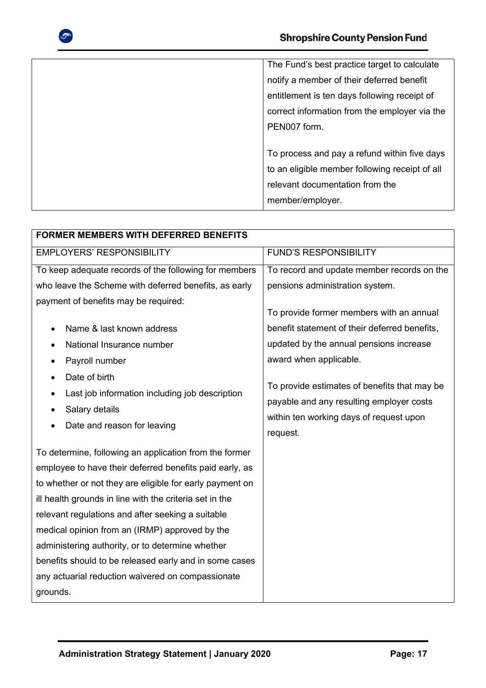

The Fund's best practice target to calculate notify a member of their deferred benefit entitlement is ten days following receipt of correct information from the employer via the PEN007 form. To process and pay a refund within five days to an eligible member following receipt of all relevant documentation from the

member/employer.

| <b>FORMER MEMBERS WITH DEFERRED BENEFITS</b>                                                                                                                                                                                                                                                                                                                                                                                                                                                                                   |                                                                                                                                                 |  |  |  |
|--------------------------------------------------------------------------------------------------------------------------------------------------------------------------------------------------------------------------------------------------------------------------------------------------------------------------------------------------------------------------------------------------------------------------------------------------------------------------------------------------------------------------------|-------------------------------------------------------------------------------------------------------------------------------------------------|--|--|--|
| <b>EMPLOYERS' RESPONSIBILITY</b>                                                                                                                                                                                                                                                                                                                                                                                                                                                                                               | <b>FUND'S RESPONSIBILITY</b>                                                                                                                    |  |  |  |
| To keep adequate records of the following for members                                                                                                                                                                                                                                                                                                                                                                                                                                                                          | To record and update member records on the                                                                                                      |  |  |  |
| who leave the Scheme with deferred benefits, as early                                                                                                                                                                                                                                                                                                                                                                                                                                                                          | pensions administration system.                                                                                                                 |  |  |  |
| payment of benefits may be required:                                                                                                                                                                                                                                                                                                                                                                                                                                                                                           | To provide former members with an annual                                                                                                        |  |  |  |
| Name & last known address<br>$\bullet$                                                                                                                                                                                                                                                                                                                                                                                                                                                                                         | benefit statement of their deferred benefits,                                                                                                   |  |  |  |
| National Insurance number<br>$\bullet$                                                                                                                                                                                                                                                                                                                                                                                                                                                                                         | updated by the annual pensions increase                                                                                                         |  |  |  |
| Payroll number<br>$\bullet$                                                                                                                                                                                                                                                                                                                                                                                                                                                                                                    | award when applicable.                                                                                                                          |  |  |  |
| Date of birth<br>$\bullet$<br>Last job information including job description<br>$\bullet$<br>Salary details<br>Date and reason for leaving                                                                                                                                                                                                                                                                                                                                                                                     | To provide estimates of benefits that may be<br>payable and any resulting employer costs<br>within ten working days of request upon<br>request. |  |  |  |
| To determine, following an application from the former<br>employee to have their deferred benefits paid early, as<br>to whether or not they are eligible for early payment on<br>ill health grounds in line with the criteria set in the<br>relevant regulations and after seeking a suitable<br>medical opinion from an (IRMP) approved by the<br>administering authority, or to determine whether<br>benefits should to be released early and in some cases<br>any actuarial reduction waivered on compassionate<br>grounds. |                                                                                                                                                 |  |  |  |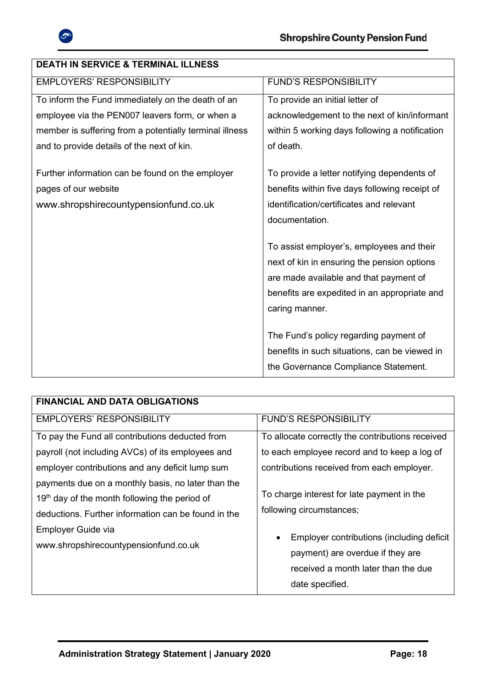

| DLATITIN ƏLINYIVL & TENMINAL ILLINLƏƏ                                                                             |                                                                                                                                                             |
|-------------------------------------------------------------------------------------------------------------------|-------------------------------------------------------------------------------------------------------------------------------------------------------------|
| <b>EMPLOYERS' RESPONSIBILITY</b>                                                                                  | <b>FUND'S RESPONSIBILITY</b>                                                                                                                                |
| To inform the Fund immediately on the death of an                                                                 | To provide an initial letter of                                                                                                                             |
| employee via the PEN007 leavers form, or when a                                                                   | acknowledgement to the next of kin/informant                                                                                                                |
| member is suffering from a potentially terminal illness                                                           | within 5 working days following a notification                                                                                                              |
| and to provide details of the next of kin.                                                                        | of death.                                                                                                                                                   |
| Further information can be found on the employer<br>pages of our website<br>www.shropshirecountypensionfund.co.uk | To provide a letter notifying dependents of<br>benefits within five days following receipt of<br>identification/certificates and relevant<br>documentation. |
|                                                                                                                   | To assist employer's, employees and their                                                                                                                   |
|                                                                                                                   | next of kin in ensuring the pension options                                                                                                                 |
|                                                                                                                   | are made available and that payment of                                                                                                                      |
|                                                                                                                   | benefits are expedited in an appropriate and                                                                                                                |
|                                                                                                                   | caring manner.                                                                                                                                              |
|                                                                                                                   | The Fund's policy regarding payment of<br>benefits in such situations, can be viewed in<br>the Governance Compliance Statement.                             |

| <b>FINANCIAL AND DATA OBLIGATIONS</b>                                                                 |                                                                                    |
|-------------------------------------------------------------------------------------------------------|------------------------------------------------------------------------------------|
| <b>EMPLOYERS' RESPONSIBILITY</b>                                                                      | <b>FUND'S RESPONSIBILITY</b>                                                       |
| To pay the Fund all contributions deducted from                                                       | To allocate correctly the contributions received                                   |
| payroll (not including AVCs) of its employees and                                                     | to each employee record and to keep a log of                                       |
| employer contributions and any deficit lump sum<br>payments due on a monthly basis, no later than the | contributions received from each employer.                                         |
| $19th$ day of the month following the period of                                                       | To charge interest for late payment in the                                         |
| deductions. Further information can be found in the                                                   | following circumstances;<br>Employer contributions (including deficit<br>$\bullet$ |
| Employer Guide via                                                                                    |                                                                                    |
| www.shropshirecountypensionfund.co.uk                                                                 | payment) are overdue if they are                                                   |
|                                                                                                       | received a month later than the due                                                |
|                                                                                                       | date specified.                                                                    |

## **DEATH IN SERVICE & TERMINAL ILLNESS**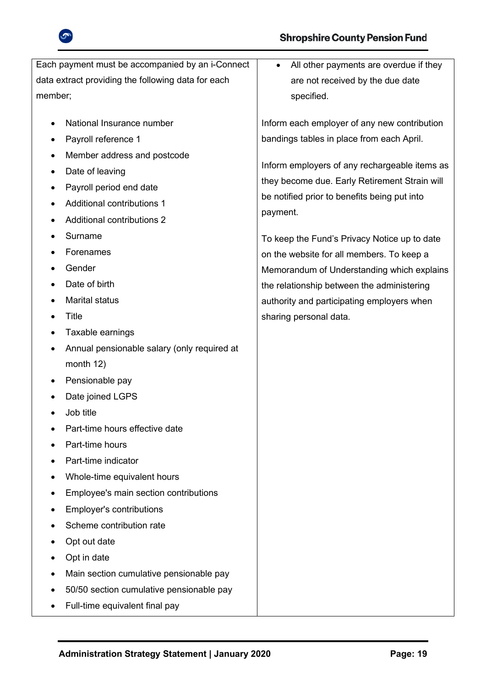



| Each payment must be accompanied by an i-Connect         | All other payments are overdue if they<br>$\bullet$ |
|----------------------------------------------------------|-----------------------------------------------------|
| data extract providing the following data for each       | are not received by the due date                    |
| member;                                                  | specified.                                          |
| National Insurance number<br>$\bullet$                   | Inform each employer of any new contribution        |
| Payroll reference 1<br>٠                                 | bandings tables in place from each April.           |
| Member address and postcode                              |                                                     |
| Date of leaving                                          | Inform employers of any rechargeable items as       |
| Payroll period end date<br>٠                             | they become due. Early Retirement Strain will       |
| <b>Additional contributions 1</b>                        | be notified prior to benefits being put into        |
| <b>Additional contributions 2</b>                        | payment.                                            |
| Surname                                                  | To keep the Fund's Privacy Notice up to date        |
| Forenames                                                | on the website for all members. To keep a           |
| Gender                                                   | Memorandum of Understanding which explains          |
| Date of birth                                            | the relationship between the administering          |
| <b>Marital status</b>                                    | authority and participating employers when          |
| <b>Title</b><br>٠                                        | sharing personal data.                              |
| Taxable earnings                                         |                                                     |
| Annual pensionable salary (only required at<br>$\bullet$ |                                                     |
| month 12)                                                |                                                     |
| Pensionable pay<br>٠                                     |                                                     |
| Date joined LGPS                                         |                                                     |
| Job title                                                |                                                     |
| Part-time hours effective date                           |                                                     |
| Part-time hours                                          |                                                     |
| Part-time indicator                                      |                                                     |
| Whole-time equivalent hours                              |                                                     |
| Employee's main section contributions                    |                                                     |
| <b>Employer's contributions</b>                          |                                                     |
| Scheme contribution rate                                 |                                                     |
| Opt out date                                             |                                                     |
| Opt in date                                              |                                                     |
| Main section cumulative pensionable pay                  |                                                     |
| 50/50 section cumulative pensionable pay                 |                                                     |
| Full-time equivalent final pay                           |                                                     |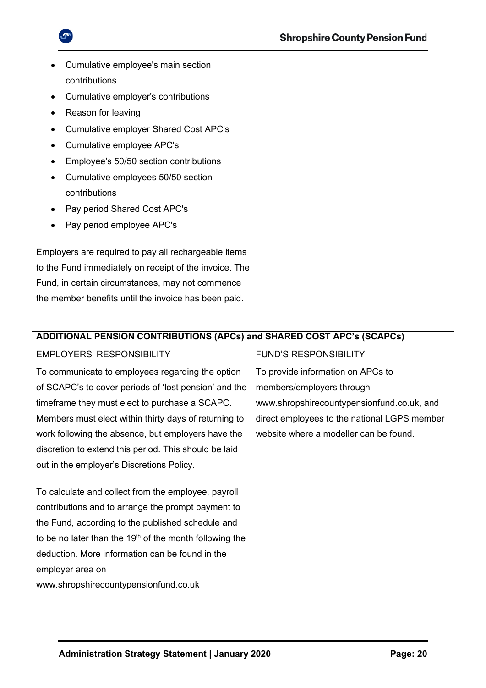

| Cumulative employee's main section                     |  |
|--------------------------------------------------------|--|
| contributions                                          |  |
| Cumulative employer's contributions                    |  |
| Reason for leaving                                     |  |
| <b>Cumulative employer Shared Cost APC's</b>           |  |
| Cumulative employee APC's                              |  |
| Employee's 50/50 section contributions                 |  |
| Cumulative employees 50/50 section                     |  |
| contributions                                          |  |
| Pay period Shared Cost APC's                           |  |
| Pay period employee APC's                              |  |
|                                                        |  |
| Employers are required to pay all rechargeable items   |  |
| to the Fund immediately on receipt of the invoice. The |  |
| Fund, in certain circumstances, may not commence       |  |
| the member benefits until the invoice has been paid.   |  |

| ADDITIONAL PENSION CONTRIBUTIONS (APCs) and SHARED COST APC's (SCAPCs) |                                              |  |  |
|------------------------------------------------------------------------|----------------------------------------------|--|--|
| <b>EMPLOYERS' RESPONSIBILITY</b>                                       | <b>FUND'S RESPONSIBILITY</b>                 |  |  |
| To communicate to employees regarding the option                       | To provide information on APCs to            |  |  |
| of SCAPC's to cover periods of 'lost pension' and the                  | members/employers through                    |  |  |
| timeframe they must elect to purchase a SCAPC.                         | www.shropshirecountypensionfund.co.uk, and   |  |  |
| Members must elect within thirty days of returning to                  | direct employees to the national LGPS member |  |  |
| work following the absence, but employers have the                     | website where a modeller can be found.       |  |  |
| discretion to extend this period. This should be laid                  |                                              |  |  |
| out in the employer's Discretions Policy.                              |                                              |  |  |
|                                                                        |                                              |  |  |
| To calculate and collect from the employee, payroll                    |                                              |  |  |
| contributions and to arrange the prompt payment to                     |                                              |  |  |
| the Fund, according to the published schedule and                      |                                              |  |  |
| to be no later than the 19 <sup>th</sup> of the month following the    |                                              |  |  |
| deduction. More information can be found in the                        |                                              |  |  |
| employer area on                                                       |                                              |  |  |
| www.shropshirecountypensionfund.co.uk                                  |                                              |  |  |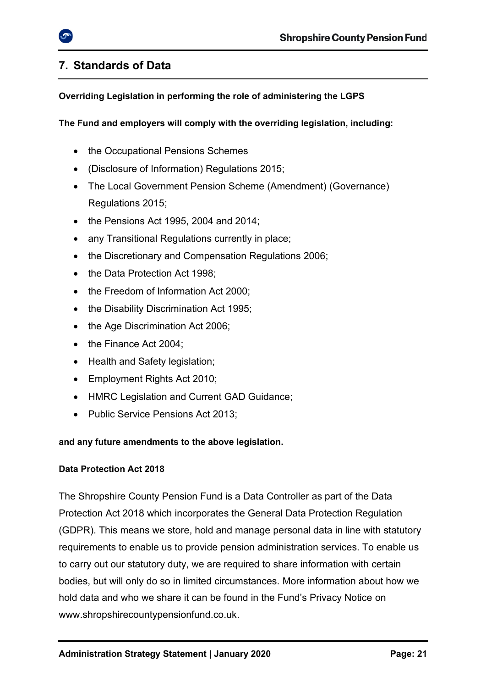## <span id="page-20-0"></span>**7. Standards of Data**

## **Overriding Legislation in performing the role of administering the LGPS**

### **The Fund and employers will comply with the overriding legislation, including:**

- the Occupational Pensions Schemes
- (Disclosure of Information) Regulations 2015;
- The Local Government Pension Scheme (Amendment) (Governance) Regulations 2015;
- the Pensions Act 1995, 2004 and 2014;
- any Transitional Regulations currently in place;
- the Discretionary and Compensation Regulations 2006:
- the Data Protection Act 1998:
- the Freedom of Information Act 2000:
- the Disability Discrimination Act 1995;
- the Age Discrimination Act 2006;
- the Finance Act 2004;
- Health and Safety legislation;
- Employment Rights Act 2010;
- HMRC Legislation and Current GAD Guidance;
- Public Service Pensions Act 2013;

#### **and any future amendments to the above legislation.**

#### **Data Protection Act 2018**

The Shropshire County Pension Fund is a Data Controller as part of the Data Protection Act 2018 which incorporates the General Data Protection Regulation (GDPR). This means we store, hold and manage personal data in line with statutory requirements to enable us to provide pension administration services. To enable us to carry out our statutory duty, we are required to share information with certain bodies, but will only do so in limited circumstances. More information about how we hold data and who we share it can be found in the Fund's Privacy Notice on [www.shropshirecountypensionfund.co.uk.](http://www.shropshirecountypensionfund.co.uk/)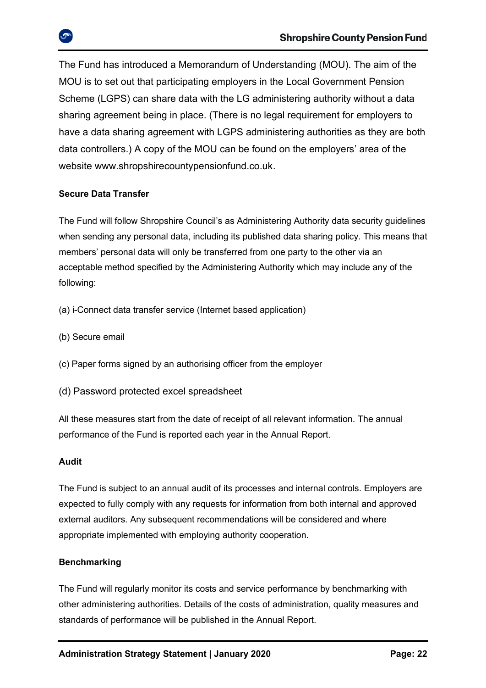The Fund has introduced a Memorandum of Understanding (MOU). The aim of the MOU is to set out that participating employers in the Local Government Pension Scheme (LGPS) can share data with the LG administering authority without a data sharing agreement being in place. (There is no legal requirement for employers to have a data sharing agreement with LGPS administering authorities as they are both data controllers.) A copy of the MOU can be found on the employers' area of the website [www.shropshirecountypensionfund.co.uk.](http://www.shropshirecountypensionfund.co.uk/)

### **Secure Data Transfer**

The Fund will follow Shropshire Council's as Administering Authority data security guidelines when sending any personal data, including its published data sharing policy. This means that members' personal data will only be transferred from one party to the other via an acceptable method specified by the Administering Authority which may include any of the following:

- (a) i-Connect data transfer service (Internet based application)
- (b) Secure email
- (c) Paper forms signed by an authorising officer from the employer
- (d) Password protected excel spreadsheet

All these measures start from the date of receipt of all relevant information. The annual performance of the Fund is reported each year in the Annual Report.

#### **Audit**

The Fund is subject to an annual audit of its processes and internal controls. Employers are expected to fully comply with any requests for information from both internal and approved external auditors. Any subsequent recommendations will be considered and where appropriate implemented with employing authority cooperation.

#### **Benchmarking**

The Fund will regularly monitor its costs and service performance by benchmarking with other administering authorities. Details of the costs of administration, quality measures and standards of performance will be published in the Annual Report.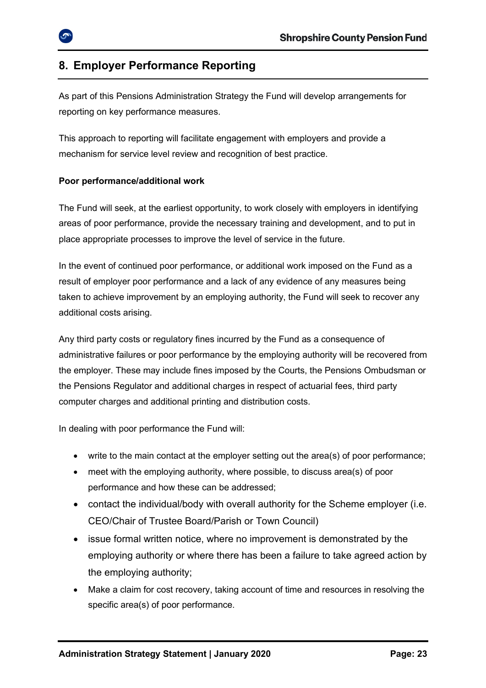## <span id="page-22-0"></span>**8. Employer Performance Reporting**

As part of this Pensions Administration Strategy the Fund will develop arrangements for reporting on key performance measures.

This approach to reporting will facilitate engagement with employers and provide a mechanism for service level review and recognition of best practice.

#### **Poor performance/additional work**

The Fund will seek, at the earliest opportunity, to work closely with employers in identifying areas of poor performance, provide the necessary training and development, and to put in place appropriate processes to improve the level of service in the future.

In the event of continued poor performance, or additional work imposed on the Fund as a result of employer poor performance and a lack of any evidence of any measures being taken to achieve improvement by an employing authority, the Fund will seek to recover any additional costs arising.

Any third party costs or regulatory fines incurred by the Fund as a consequence of administrative failures or poor performance by the employing authority will be recovered from the employer. These may include fines imposed by the Courts, the Pensions Ombudsman or the Pensions Regulator and additional charges in respect of actuarial fees, third party computer charges and additional printing and distribution costs.

In dealing with poor performance the Fund will:

- write to the main contact at the employer setting out the area(s) of poor performance;
- meet with the employing authority, where possible, to discuss area(s) of poor performance and how these can be addressed;
- contact the individual/body with overall authority for the Scheme employer (i.e. CEO/Chair of Trustee Board/Parish or Town Council)
- issue formal written notice, where no improvement is demonstrated by the employing authority or where there has been a failure to take agreed action by the employing authority;
- Make a claim for cost recovery, taking account of time and resources in resolving the specific area(s) of poor performance.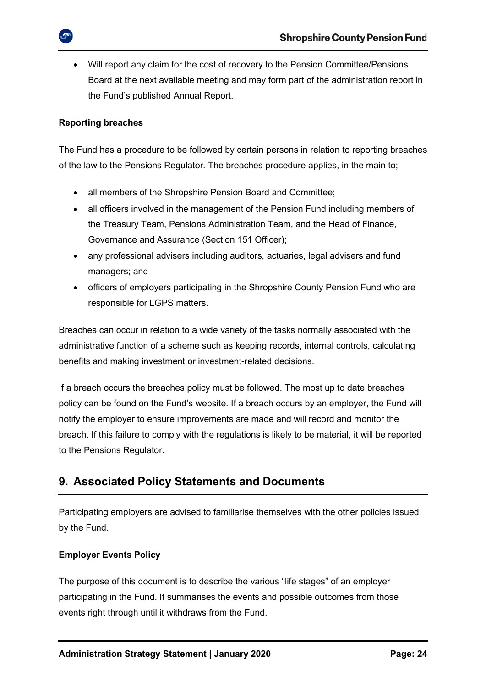• Will report any claim for the cost of recovery to the Pension Committee/Pensions Board at the next available meeting and may form part of the administration report in the Fund's published Annual Report.

#### **Reporting breaches**

The Fund has a procedure to be followed by certain persons in relation to reporting breaches of the law to the Pensions Regulator. The breaches procedure applies, in the main to;

- all members of the Shropshire Pension Board and Committee;
- all officers involved in the management of the Pension Fund including members of the Treasury Team, Pensions Administration Team, and the Head of Finance, Governance and Assurance (Section 151 Officer);
- any professional advisers including auditors, actuaries, legal advisers and fund managers; and
- officers of employers participating in the Shropshire County Pension Fund who are responsible for LGPS matters.

Breaches can occur in relation to a wide variety of the tasks normally associated with the administrative function of a scheme such as keeping records, internal controls, calculating benefits and making investment or investment-related decisions.

If a breach occurs the breaches policy must be followed. The most up to date breaches policy can be found on the Fund's website. If a breach occurs by an employer, the Fund will notify the employer to ensure improvements are made and will record and monitor the breach. If this failure to comply with the regulations is likely to be material, it will be reported to the Pensions Regulator.

## <span id="page-23-0"></span>**9. Associated Policy Statements and Documents**

Participating employers are advised to familiarise themselves with the other policies issued by the Fund.

### **Employer Events Policy**

The purpose of this document is to describe the various "life stages" of an employer participating in the Fund. It summarises the events and possible outcomes from those events right through until it withdraws from the Fund.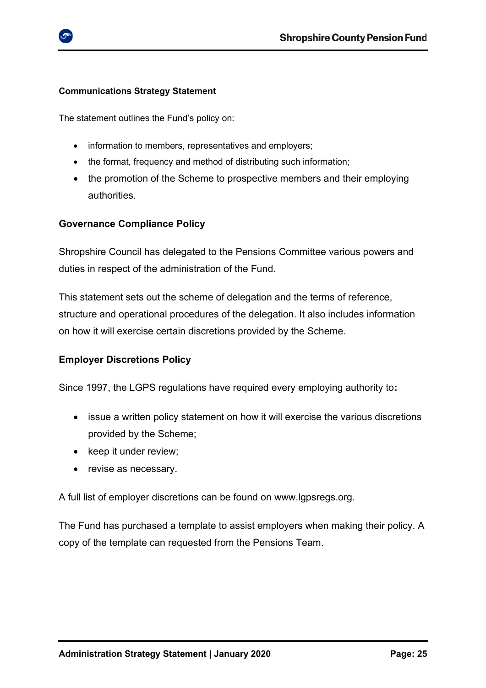

#### **Communications Strategy Statement**

The statement outlines the Fund's policy on:

- information to members, representatives and employers;
- the format, frequency and method of distributing such information;
- the promotion of the Scheme to prospective members and their employing authorities.

## **Governance Compliance Policy**

Shropshire Council has delegated to the Pensions Committee various powers and duties in respect of the administration of the Fund.

This statement sets out the scheme of delegation and the terms of reference, structure and operational procedures of the delegation. It also includes information on how it will exercise certain discretions provided by the Scheme.

### **Employer Discretions Policy**

Since 1997, the LGPS regulations have required every employing authority to**:**

- issue a written policy statement on how it will exercise the various discretions provided by the Scheme;
- keep it under review:
- revise as necessary.

A full list of employer discretions can be found on [www.lgpsregs.org.](http://www.lgpsregs.org/)

The Fund has purchased a template to assist employers when making their policy. A copy of the template can requested from the Pensions Team.